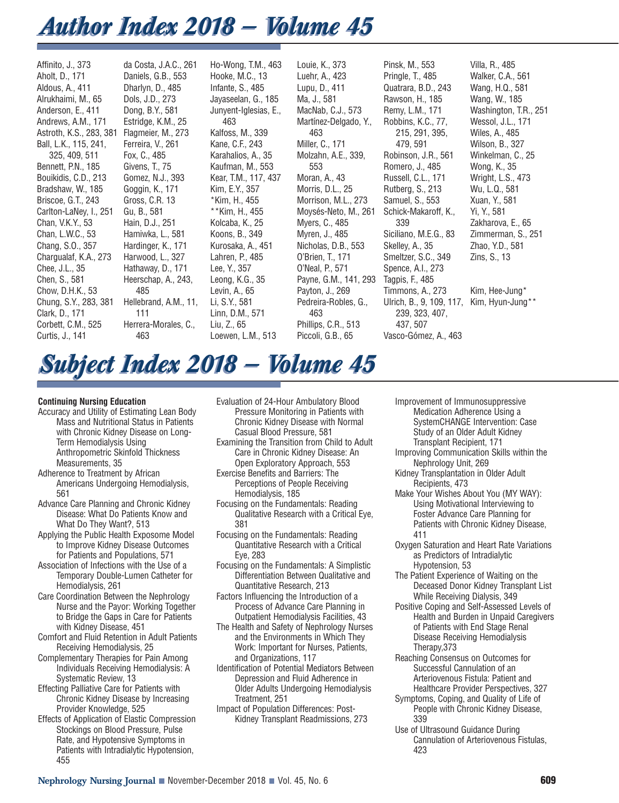# *Author Index 2018 — Volume 45 Author Index 2018 — Volume 45*

Affinito, J., 373 Aholt, D., 171 Aldous, A., 411 Alrukhaimi, M., 65 Anderson, E., 411 Andrews, A.M., 171 Astroth, K.S., 283, 381 Flagmeier, M., 273 Ball, L.K., 115, 241, 325, 409, 511 Bennett, P.N., 185 Bouikidis, C.D., 213 Bradshaw, W., 185 Briscoe, G.T., 243 Carlton-LaNey, I., 251 Chan, V.K.Y., 53 Chan, L.W.C., 53 Chang, S.O., 357 Chargualaf, K.A., 273 Chee, J.L., 35 Chen, S., 581 Chow, D.H.K., 53 Chung, S.Y., 283, 381 Clark, D., 171 Corbett, C.M., 525 Curtis, J., 141

da Costa, J.A.C., 261 Daniels, G.B., 553 Dharlyn, D., 485 Dols, J.D., 273 Dong, B.Y., 581 Estridge, K.M., 25 Ferreira, V., 261 Fox, C., 485 Givens, T., 75 Gomez, N.J., 393 Goggin, K., 171 Gross, C.R. 13 Gu, B., 581 Hain, D.J., 251 Hamiwka, L., 581 Hardinger, K., 171 Harwood, L., 327 Hathaway, D., 171 Heerschap, A., 243, 485 Hellebrand, A.M., 11, 111 Herrera-Morales, C., 463

Ho-Wong, T.M., 463 Hooke, M.C., 13 Infante, S., 485 Jayaseelan, G., 185 Junyent-Iglesias, E., 463 Kalfoss, M., 339 Kane, C.F., 243 Karahalios, A., 35 Kaufman, M., 553 Kear, T.M., 117, 437 Kim, E.Y., 357 \*Kim, H., 455 \*\*Kim, H., 455 Kolcaba, K., 25 Koons, B., 349 Kurosaka, A., 451 Lahren, P., 485 Lee, Y., 357 Leong, K.G., 35 Levin, A., 65 Li, S.Y., 581 Linn, D.M., 571 Liu, Z., 65 Loewen, L.M., 513

Louie, K., 373 Luehr, A., 423 Lupu, D., 411 Ma, J., 581 MacNab, C.J., 573 Martínez-Delgado, Y., 463 Miller, C., 171 Molzahn, A.E., 339, 553 Moran, A., 43 Morris, D.L., 25 Morrison, M.L., 273 Moysés-Neto, M., 261 Myers, C., 485 Myren, J., 485 Nicholas, D.B., 553 O'Brien, T., 171 O'Neal, P., 571 Payne, G.M., 141, 293 Payton, J., 269 Pedreira-Robles, G., 463 Phillips, C.R., 513 Piccoli, G.B., 65

Pinsk, M., 553 Pringle, T., 485 Quatrara, B.D., 243 Rawson, H., 185 Remy, L.M., 171 Robbins, K.C., 77, 215, 291, 395, 479, 591 Robinson, J.R., 561 Romero, J., 485 Russell, C.L., 171 Rutberg, S., 213 Samuel, S., 553 Schick-Makaroff, K., 339 Siciliano, M.E.G., 83 Skelley, A., 35 Smeltzer, S.C., 349 Spence, A.I., 273 Tagpis, F., 485 Timmons, A., 273 Ulrich, B., 9, 109, 117, Kim, Hyun-Jung\*\*239, 323, 407, 437, 507 Vasco-Gómez, A., 463

Villa, R., 485 Walker, C.A., 561 Wang, H.Q., 581 Wang, W., 185 Washington, T.R., 251 Wessol, J.L., 171 Wiles, A., 485 Wilson, B., 327 Winkelman, C., 25 Wong, K., 35 Wright, L.S., 473 Wu, L.Q., 581 Xuan, Y., 581 Yi, Y., 581 Zakharova, E., 65 Zimmerman, S., 251 Zhao, Y.D., 581 Zins, S., 13 Kim, Hee-Jung\*

# *Subject Index 2018 — Volume 45 Subject Index 2018 — Volume 45*

# **Continuing Nursing Education**

- Accuracy and Utility of Estimating Lean Body Mass and Nutritional Status in Patients with Chronic Kidney Disease on Long-Term Hemodialysis Using Anthropometric Skinfold Thickness Measurements, 35
- Adherence to Treatment by African Americans Undergoing Hemodialysis, 561
- Advance Care Planning and Chronic Kidney Disease: What Do Patients Know and What Do They Want?, 513
- Applying the Public Health Exposome Model to Improve Kidney Disease Outcomes for Patients and Populations, 571
- Association of Infections with the Use of a Temporary Double-Lumen Catheter for Hemodialysis, 261
- Care Coordination Between the Nephrology Nurse and the Payor: Working Together to Bridge the Gaps in Care for Patients with Kidney Disease, 451
- Comfort and Fluid Retention in Adult Patients Receiving Hemodialysis, 25
- Complementary Therapies for Pain Among Individuals Receiving Hemodialysis: A Systematic Review, 13
- Effecting Palliative Care for Patients with Chronic Kidney Disease by Increasing Provider Knowledge, 525
- Effects of Application of Elastic Compression Stockings on Blood Pressure, Pulse Rate, and Hypotensive Symptoms in Patients with Intradialytic Hypotension, 455
- Evaluation of 24-Hour Ambulatory Blood Pressure Monitoring in Patients with Chronic Kidney Disease with Normal Casual Blood Pressure, 581
- Examining the Transition from Child to Adult Care in Chronic Kidney Disease: An Open Exploratory Approach, 553
- Exercise Benefits and Barriers: The Perceptions of People Receiving Hemodialysis, 185
- Focusing on the Fundamentals: Reading Qualitative Research with a Critical Eye, 381
- Focusing on the Fundamentals: Reading Quantitative Research with a Critical Eye, 283
- Focusing on the Fundamentals: A Simplistic Differentiation Between Qualitative and Quantitative Research, 213
- Factors Influencing the Introduction of a Process of Advance Care Planning in Outpatient Hemodialysis Facilities, 43
- The Health and Safety of Nephrology Nurses and the Environments in Which They Work: Important for Nurses, Patients, and Organizations, 117
- Identification of Potential Mediators Between Depression and Fluid Adherence in Older Adults Undergoing Hemodialysis Treatment, 251
- Impact of Population Differences: Post-Kidney Transplant Readmissions, 273
- Improvement of Immunosuppressive Medication Adherence Using a SystemCHANGE Intervention: Case Study of an Older Adult Kidney
- Transplant Recipient, 171 Improving Communication Skills within the Nephrology Unit, 269
- Kidney Transplantation in Older Adult Recipients, 473
- Make Your Wishes About You (MY WAY): Using Motivational Interviewing to Foster Advance Care Planning for Patients with Chronic Kidney Disease, 411
- Oxygen Saturation and Heart Rate Variations as Predictors of Intradialytic Hypotension, 53
- The Patient Experience of Waiting on the Deceased Donor Kidney Transplant List While Receiving Dialysis, 349
- Positive Coping and Self-Assessed Levels of Health and Burden in Unpaid Caregivers of Patients with End Stage Renal Disease Receiving Hemodialysis Therapy,373
- Reaching Consensus on Outcomes for Successful Cannulation of an Arteriovenous Fistula: Patient and Healthcare Provider Perspectives, 327
- Symptoms, Coping, and Quality of Life of People with Chronic Kidney Disease, 339
- Use of Ultrasound Guidance During Cannulation of Arteriovenous Fistulas, 423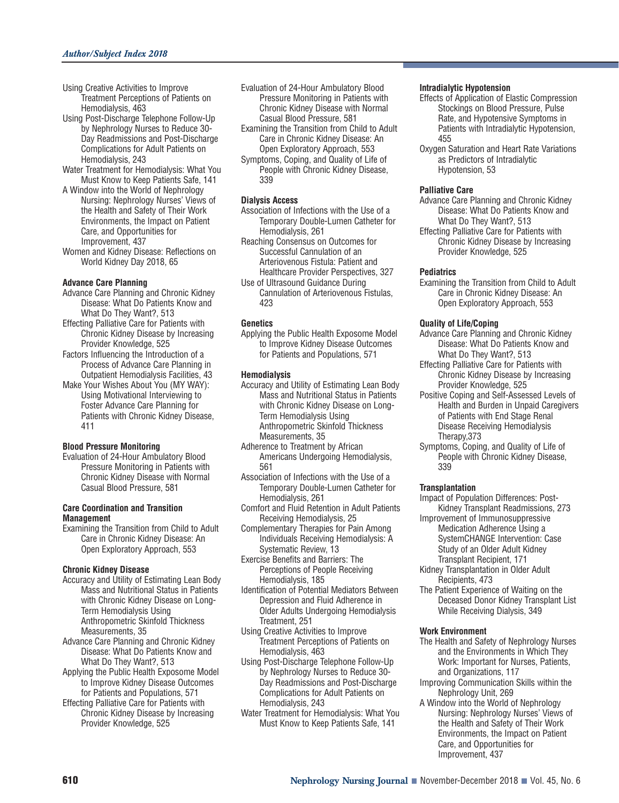- Using Creative Activities to Improve Treatment Perceptions of Patients on Hemodialysis, 463
- Using Post-Discharge Telephone Follow-Up by Nephrology Nurses to Reduce 30- Day Readmissions and Post-Discharge Complications for Adult Patients on Hemodialysis, 243
- Water Treatment for Hemodialysis: What You Must Know to Keep Patients Safe, 141
- A Window into the World of Nephrology Nursing: Nephrology Nurses' Views of the Health and Safety of Their Work Environments, the Impact on Patient Care, and Opportunities for Improvement, 437
- Women and Kidney Disease: Reflections on World Kidney Day 2018, 65

#### **Advance Care Planning**

- Advance Care Planning and Chronic Kidney Disease: What Do Patients Know and What Do They Want?, 513
- Effecting Palliative Care for Patients with Chronic Kidney Disease by Increasing Provider Knowledge, 525
- Factors Influencing the Introduction of a Process of Advance Care Planning in Outpatient Hemodialysis Facilities, 43
- Make Your Wishes About You (MY WAY): Using Motivational Interviewing to Foster Advance Care Planning for Patients with Chronic Kidney Disease, 411

# **Blood Pressure Monitoring**

Evaluation of 24-Hour Ambulatory Blood Pressure Monitoring in Patients with Chronic Kidney Disease with Normal Casual Blood Pressure, 581

#### **Care Coordination and Transition Management**

Examining the Transition from Child to Adult Care in Chronic Kidney Disease: An Open Exploratory Approach, 553

#### **Chronic Kidney Disease**

- Accuracy and Utility of Estimating Lean Body Mass and Nutritional Status in Patients with Chronic Kidney Disease on Long-Term Hemodialysis Using Anthropometric Skinfold Thickness Measurements, 35
- Advance Care Planning and Chronic Kidney Disease: What Do Patients Know and What Do They Want?, 513
- Applying the Public Health Exposome Model to Improve Kidney Disease Outcomes for Patients and Populations, 571
- Effecting Palliative Care for Patients with Chronic Kidney Disease by Increasing Provider Knowledge, 525
- Evaluation of 24-Hour Ambulatory Blood Pressure Monitoring in Patients with Chronic Kidney Disease with Normal Casual Blood Pressure, 581
- Examining the Transition from Child to Adult Care in Chronic Kidney Disease: An Open Exploratory Approach, 553
- Symptoms, Coping, and Quality of Life of People with Chronic Kidney Disease, 339

# **Dialysis Access**

- Association of Infections with the Use of a Temporary Double-Lumen Catheter for Hemodialysis, 261
- Reaching Consensus on Outcomes for Successful Cannulation of an Arteriovenous Fistula: Patient and Healthcare Provider Perspectives, 327
- Use of Ultrasound Guidance During Cannulation of Arteriovenous Fistulas, 423

# **Genetics**

Applying the Public Health Exposome Model to Improve Kidney Disease Outcomes for Patients and Populations, 571

# **Hemodialysis**

- Accuracy and Utility of Estimating Lean Body Mass and Nutritional Status in Patients with Chronic Kidney Disease on Long-Term Hemodialysis Using Anthropometric Skinfold Thickness Measurements, 35
- Adherence to Treatment by African Americans Undergoing Hemodialysis, 561
- Association of Infections with the Use of a Temporary Double-Lumen Catheter for Hemodialysis, 261
- Comfort and Fluid Retention in Adult Patients Receiving Hemodialysis, 25
- Complementary Therapies for Pain Among Individuals Receiving Hemodialysis: A Systematic Review, 13
- Exercise Benefits and Barriers: The Perceptions of People Receiving Hemodialysis, 185
- Identification of Potential Mediators Between Depression and Fluid Adherence in Older Adults Undergoing Hemodialysis Treatment, 251
- Using Creative Activities to Improve Treatment Perceptions of Patients on Hemodialysis, 463
- Using Post-Discharge Telephone Follow-Up by Nephrology Nurses to Reduce 30- Day Readmissions and Post-Discharge Complications for Adult Patients on Hemodialysis, 243
- Water Treatment for Hemodialysis: What You Must Know to Keep Patients Safe, 141

#### **Intradialytic Hypotension**

- Effects of Application of Elastic Compression Stockings on Blood Pressure, Pulse Rate, and Hypotensive Symptoms in Patients with Intradialytic Hypotension, 455
- Oxygen Saturation and Heart Rate Variations as Predictors of Intradialytic Hypotension, 53

# **Palliative Care**

- Advance Care Planning and Chronic Kidney Disease: What Do Patients Know and What Do They Want?, 513
- Effecting Palliative Care for Patients with Chronic Kidney Disease by Increasing Provider Knowledge, 525

# **Pediatrics**

Examining the Transition from Child to Adult Care in Chronic Kidney Disease: An Open Exploratory Approach, 553

# **Quality of Life/Coping**

- Advance Care Planning and Chronic Kidney Disease: What Do Patients Know and What Do They Want?, 513
- Effecting Palliative Care for Patients with Chronic Kidney Disease by Increasing Provider Knowledge, 525
- Positive Coping and Self-Assessed Levels of Health and Burden in Unpaid Caregivers of Patients with End Stage Renal Disease Receiving Hemodialysis Therapy,373
- Symptoms, Coping, and Quality of Life of People with Chronic Kidney Disease, 339

# **Transplantation**

- Impact of Population Differences: Post-Kidney Transplant Readmissions, 273
- Improvement of Immunosuppressive Medication Adherence Using a SystemCHANGE Intervention: Case Study of an Older Adult Kidney Transplant Recipient, 171
- Kidney Transplantation in Older Adult Recipients, 473
- The Patient Experience of Waiting on the Deceased Donor Kidney Transplant List While Receiving Dialysis, 349

# **Work Environment**

- The Health and Safety of Nephrology Nurses and the Environments in Which They Work: Important for Nurses, Patients, and Organizations, 117
- Improving Communication Skills within the Nephrology Unit, 269
- A Window into the World of Nephrology Nursing: Nephrology Nurses' Views of the Health and Safety of Their Work Environments, the Impact on Patient Care, and Opportunities for Improvement, 437